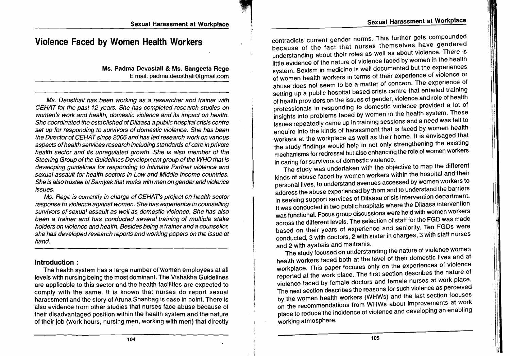## !I'I'I,II ",I Sexual Harassment at Workplace 'ii! Sexual Harassment at Workplace

'rl ,I! !I"

I

# **Violence Faced by Women Health Workers**

Ms. Padma Devastali & Ms. Sangeeta Rege Email: padma.deosthali@gmail.com

Ms. Deosthali has been working as a researcher and trainer with CEHAT for the past 12 years. She has completed research studies on women's work and health, domestic violence and its impact on health. She coordinated the established of Dilaasa a public hospital crisis centre set up for responding to survivors of domestic violence. She has been the Director of CEHAT since 2006 and has led research work on various aspects of health services research including standards of care in private health sector and its unregulated growth. She is also member of the Steering Group of the Guidelines Development group of the WHO that is developing guidelines for responding to Intimate Partner violence and sexual assault for health sectors in Low and Middle income countries. She is also trustee of Samyak that works with men on gender and violence issues.

Ms. Rege is currently in charge of CEHAT's project on health sector response to violence against women. She has experience in counselling survivors of sexual assault as well as domestic violence. She has also been a trainer and has conducted several training of multiple stake holders on violence and health. Besides being a trainerand a counsellor, she has developed research reports and working papers on the issue at hand.

### **Introduction** :

The health system has a large number of women employees at all levels with nursing being the most dominant. The Vishakha Guidelines are applicable to this sector and the health facilities are expected to comply with the same. It is known that nurses do report sexual harassment and the story of Aruna Shanbag is case in point. There is also evidence from other studies that nurses face abuse because of their disadvantaged position within the health system and the nature of their job (work hours, nursing men, working with men) that directly contradicts current gender norms. This further gets compounded because of the fact that nurses themselves have gendered understanding about their roles as well as about violence. There is little evidence of the nature of violence faced by women in the health system. Sexism in medicine is well documented but the experiences of women health workers in terms of their experience of violence or abuse does not seem to be a matter of concern. The experience of setting up a public hospital based crisis centre that entailed training of health providers on the issues of gender, violence and role of health professionals in responding to domestic violence provided a lot of insights into problems faced by women in the health system. These issues repeatedly came up in training sessions and a need was felt to enquire into the kinds of harassment that is faced by women health workers at the workplace as well as their home. It is envisaged that the study findings would help in not only strengthening the existing mechanisms for redressal but also enhancing the role of women workers in caring for survivors of domestic violence.

The study was undertaken with the objective to map the different kinds of abuse faced by women workers within the hospital and their personal lives, to understand avenues accessed by women workers to address the abuse experienced by them and to understand the barriers in seeking support services of Dilaasa crisis intervention department. It was conducted in two public hospitals where the Dilaasa intervention was functional. Focus group discussions were held with women workers across the different levels. The selection of staff for the FGD was made based on their years of experience and seniority. Ten FGDs were conducted, 3 with doctors, 2 with sister in charges, 3 with staff nurses and 2 with ayabais and maitranis.

The study focused on understanding the nature of violence women health workers faced both at the level of their domestic lives and at workplace. This paper focuses only on the experiences of violence reported at the work place. The first section describes the nature of violence faced by female doctors and female nurses at work place. The next section describes the reasons for such violence as perceived by the women health workers (WHWs) and the last section focuses on the recommendations from WHWs about improvements at work place to reduce the incidence of violence and developing an enabling working atmosphere.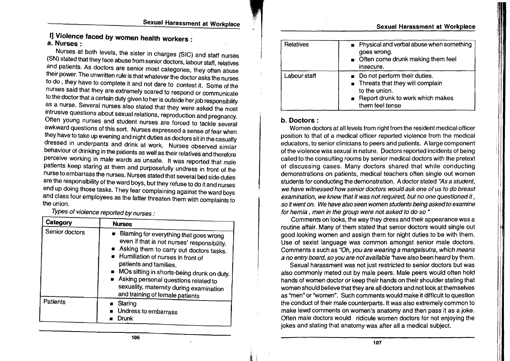## **I]** Violence faced by women health workers : a. Nurses:

Nurses at both levels, the sister in charges (SIC) and staff nurses (SN) stated that they face abuse from senior doctors, labour staff, relatives and patients. As doctors are senior most categories, they often abuse their power. The unwritten rule is that whatever the doctor asks the nurses to do , they have to complete it and not dare to contest it. Some of the nurses said that they are extremely scared to respond or communicate to the doctor that a certain duty given to her is outside her job responsibility as a nurse. Several nurses also stated that they were asked the most intrusive questions about sexual relations, reproduction and pregnancy. Often young nurses and student nurses are forced to tackle several awkward questions of this sort. Nurses expressed a sense of fear when they have to take up evening and night duties as doctors sit in the casualty dressed in underpants and drink at work. Nurses observed similar behaviour of drinking in the patients as well as their relatives and therefore perceive working in male wards as unsafe. It was reported that male patients keep staring at them and purposefully undress in front of the nurse to embarrass the nurses. Nurses stated that several bed side duties are the responsibility of the ward boys, but they refuse to do it and nurses end up doing those tasks. They fear complaining against the ward boys and class four employees as the latter threaten them with complaints to the union.

Types of violence reported by nurses .

| Category       | <b>Nurses</b>                                                                                                                                                                                                                                                                                                                                                       |
|----------------|---------------------------------------------------------------------------------------------------------------------------------------------------------------------------------------------------------------------------------------------------------------------------------------------------------------------------------------------------------------------|
| Senior doctors | Blaming for everything that goes wrong<br>even if that is not nurses' responsibility.<br>Asking them to carry out doctors tasks.<br>Humiliation of nurses in front of<br>patients and families.<br>MOs sitting in shorts-being drunk on duty.<br>Asking personal questions related to<br>sexuality, maternity during examination<br>and training of female patients |
| Patients       | Staring<br>Undress to embarrass<br><b>Drunk</b>                                                                                                                                                                                                                                                                                                                     |

| <b>Relatives</b> | Physical and verbal abuse when something<br>goes wrong.<br>■ Often come drunk making them feel<br>insecure.                                                     |
|------------------|-----------------------------------------------------------------------------------------------------------------------------------------------------------------|
| Labour staff     | Do not perform their duties.<br>$\blacksquare$ Threats that they will complain<br>to the union.<br><b>E</b> Report drunk to work which makes<br>them feel tense |

Sexual Harassment at Workplace

I

1 '1

11,1 1

1,1,

## b. Doctors:

the control

Women doctors at all levels from right from the resident medical officer position to that of a medical officer reported violence from the medical educators, to senior clinicians to peers and patients. A large component of the violence was sexual in nature. Doctors reported incidents of being called to the consulting rooms by senior medical doctors with the pretext of discussing cases. Many doctors shared that while conducting demonstrations on patients, medical teachers often single out women students for conducting the demonstration. A doctor stated "As a student, we have witnessed how senior doctors would ask one of us to do breast examination, we knew that it was not required, but no one questioned it, so it went on. We have also seen women students being asked to examine for hernia, men in the group were not asked to do so  $4$ 

Comments on looks, the way they dress and their appearance was a routine affair. Many of them stated that senior doctors would single out good looking women and assign them for night duties to be with them. Use of sexist language was common amongst senior male doctors. Comments s such as "Oh, you are wearing a mangalsutra, which means a no entry board. so you are not available 'have also been heard by them.

Sexual harassment was not just restricted to senior doctors but was also commonly meted out by male peers. Male peers would often hold hands of women doctor or keep their hands on their shoulder stating that women should believe that they are all doctors and not look at themselves as "men" or "women". Such comments would make it difficult to question the conduct of their male counterparts. It was also extremely common to make lewd comments on women's anatomy and then pass it as a joke. Often male doctors would ridicule women doctors for not enjoying the jokes and stating that anatomy was after all a medical subject.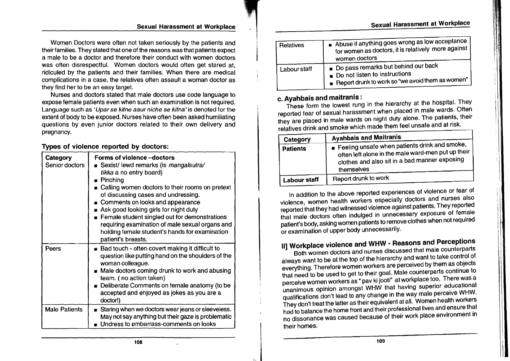## Sexual Harassment at Workplace

#### Sexual Harassment at Workplace

Women Doctors were often not taken seriously by the patients and their families. They stated that one of the reasons was that patients expect a male to be a doctor and therefore their conduct with women doctors was often disrespectful. Women doctors would often get stared at, ridiculed by the patients and their families. When there are medical complications in a case, the relatives often assault a woman doctor as they find her to be an easy target.

Nurses and doctors stated that male doctors use code language to expose female patients even when such an examination is not required. Language such as 'Upar se kitne aaur niche se kitna' is denoted for the extent of body to be exposed. Nurses have often been asked humiliating questions by even junior doctors related to their own delivery and pregnancy.

### Types of violence reported by doctors:

| Category<br>Senior doctors | Forms of violence -- doctors<br><b>B</b> Sexist/lewd remarks (is mangalsutra/<br>tikka a no entry board)<br><b>Pinching</b><br>■ Calling women doctors to their rooms on pretext<br>of discussing cases and undressing.<br><b>DEDUARED COMMONS COMMON EXAMPLE COMMONS</b><br>Ask good looking girls for night duty<br>Female student singled out for demonstrations<br>requiring examination of male sexual organs and<br>holding female student's hands for examination<br>patient's breasts. |
|----------------------------|------------------------------------------------------------------------------------------------------------------------------------------------------------------------------------------------------------------------------------------------------------------------------------------------------------------------------------------------------------------------------------------------------------------------------------------------------------------------------------------------|
| Peers                      | $\blacksquare$ Bad touch - often covert making it difficult to<br>question like putting hand on the shoulders of the<br>woman colleague.<br>Male doctors coming drunk to work and abusing<br>team. (no action taken)<br>Deliberate Comments on female anatomy (to be<br>accepted and enjoyed as jokes as you are a<br>doctor!)                                                                                                                                                                 |
| <b>Male Patients</b>       | Staring when we doctors wear jeans or sleeveless.<br>May not say anything but their gaze is problematic<br>Undress to embarrass-comments on looks                                                                                                                                                                                                                                                                                                                                              |

| Relatives    | Abuse if anything goes wrong as low acceptance<br>for women as doctors, it is relatively more against<br>women doctors                           |
|--------------|--------------------------------------------------------------------------------------------------------------------------------------------------|
| Labour staff | Do pass remarks but behind our back<br>$\blacksquare$ Do not listen to instructions<br><b>E</b> Report drunk to work so "we avoid them as women" |

## c. Ayahbais and maitranis :

These form the lowest rung "in the hierarchy at the hospital. They reported fear of sexual harassment when placed in male wards. Often they are placed in male wards on night duty alone. The patients, their relatives drink and smoke which made them feel unsafe and at risk.

| Category            | <b>Ayahbais and Maitranis</b>                                                                                                                                             |
|---------------------|---------------------------------------------------------------------------------------------------------------------------------------------------------------------------|
| <b>Patients</b>     | <b>Feeling unsafe when patients drink and smoke,</b><br>often left alone in the male ward-men put up their<br>clothes and also sit in a bad manner exposing<br>themselves |
| <b>Labour staff</b> | Report drunk to work                                                                                                                                                      |

In addition to the above reported experiences of violence or fear of violence, women health workers especially doctors and nurses also reported that they had witnessed violence against patients. They reported that male doctors often indulged in unnecessary exposure of female patient's body, asking women patients to remove clothes when not required or examination of upper body unnecessarily.

# II] Workplace violence and WHW - Reasons and Perceptions

Both women doctors and nurses discussed that male counterparts always want to be at the top of the hierarchy and want to take control of everything. Therefore women workers are perceived by them as objects that need to be used to get to their goal. Male counterparts continue to perceive women workers as " pav ki jooti" at workplace too. There was a unanimous opinion amongst WHW that having superior educational qualifications don't lead to any change in the way male perceive WHW. They don't treat the latter as their equivalent at all. Women health workers had to balance the home front and their professional lives and ensure that no dissonance was caused because of their work place environment in their homes.

 $^{\dagger \dagger}$ I

I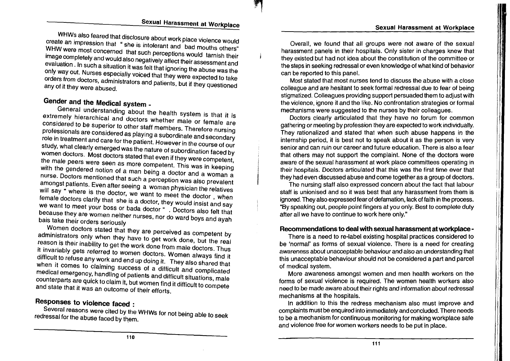$\mathbf{H}$  $\blacksquare$ !

WHWs also feared that disclosure about work place violence would create an impression that " she is intolerant and bad mouths others" WHW were most concerned that such perceptions would tarnish their image completely and would also negatively affect their assessment and evaluation. In such a situation it was felt that ignoring the abuse was the only way out. Nurses especially voiced that they were expected to take orders from doctors, administrators and patients, but if they questioned any of it they were abused.

# Gender and the Medical system \_

General understanding about the health system is that it is extremely hierarchical and doctors whether male or female are considered to be superior to other staff members. Therefore nursing professionals are considered as playing a subordinate and secondary role in treatment and care for the patient. However in the course of our study, what clearly emerged was the nature of subordination faced by women doctors. Most doctors stated that even if they were competent, the male peers were seen as more competent. This was in keeping with the gendered notion of a man being a doctor and a woman a nurse. Doctors mentioned that such a perception was also prevalent amongst patients. Even after seeing a woman physician the relatives will say " where is the doctor, we want to meet the doctor, when female doctors clarify that she is a doctor, they would insist and say we want to meet your boss or bada doctor " . Doctors also felt that because they are women neither nurses, nor do ward boys and ayah bais take their orders seriously

Women doctors stated that they are perceived as competent by administrators only when they have to get work done, but the real reason is their inability to get the work done from male doctors. Thus it invariably gets referred to women doctors. Women always find it difficult to refuse any work and end up doing it. They also shared that when it comes to claiming success of a difficult and complicated medical emergency, handling of patients and difficult situations, male counterparts are quick to claim it, but women find it difficult to compete and state that it was an outcome of their efforts.

# Responses to Violence faced :

Several reasons were cited by the WHWs for not being able to seek redressal for the abuse faced by them.

Overall, we found that all groups were not aware of the sexual harassment panels in their hospitals. Only sister in charges knew that they existed but had not idea about the constitution of the committee or the steps in seeking redressal or even knowledge of what kind of behavior can be reported to this panel.

Most stated that most nurses tend to discuss the abuse with a close colleague and are hesitant to seek formal redressal due to fear of being stigmatized. Colleagues providing support persuaded them to adjust with the violence, ignore it and the like. No confrontation strategies or formal mechanisms were suggested to the nurses by their colleagues.

Doctors clearly articulated that they have no forum for common gathering or meeting by profession they are expected to work individually. They rationalized and stated that when such abuse happens in the internship period, it is best not to speak about it as the person is very senior and can ruin our career and future education. There is also a fear that others may not support the complaint. None of the doctors were aware of the sexual harassment at work place committees operating in their hospitals. Doctors articulated that this was the first time ever that they had even discussed abuse and come together as a group of doctors.

The nursing staff also expressed concern about the fact that labour staff is unionised and so it was best that any harassment from them is ignored. They also expressed fear of defamation, lack of faith in the process. "By speaking out, people point fingers at you only. Best to complete duty after all we have to continue to work here only."

### Recommendations to deal with sexual harassment at workplace-

There is a need to re-Iabel existing hospital practices considered to be 'normal' as forms of sexual violence. There is a need for creating awareness about unacceptable behaviour and also an understanding that this unacceptable behaviour should not be considered a part and parcel of medical system.

More awareness amongst women and men health workers on the forms of sexual violence is required. The women health workers also need to be made aware about their rights and information about redressal mechanisms at the hospitals.

In addition to this the redress mechanism also must improve and complaints must be enquired into immediately and concluded. There needs to be a mechanism for continuous monitoring for making workplace safe and violence free for women workers needs to be put in place.

 $\blacksquare$ 

l J